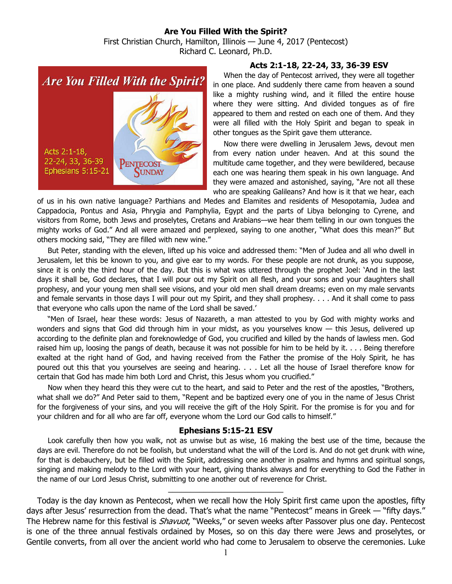## **Are You Filled With the Spirit?**

First Christian Church, Hamilton, Illinois — June 4, 2017 (Pentecost) Richard C. Leonard, Ph.D.

**Are You Filled With the Spirit?** 



## **Acts 2:1-18, 22-24, 33, 36-39 ESV**

When the day of Pentecost arrived, they were all together in one place. And suddenly there came from heaven a sound like a mighty rushing wind, and it filled the entire house where they were sitting. And divided tongues as of fire appeared to them and rested on each one of them. And they were all filled with the Holy Spirit and began to speak in other tongues as the Spirit gave them utterance.

Now there were dwelling in Jerusalem Jews, devout men from every nation under heaven. And at this sound the multitude came together, and they were bewildered, because each one was hearing them speak in his own language. And they were amazed and astonished, saying, "Are not all these who are speaking Galileans? And how is it that we hear, each

of us in his own native language? Parthians and Medes and Elamites and residents of Mesopotamia, Judea and Cappadocia, Pontus and Asia, Phrygia and Pamphylia, Egypt and the parts of Libya belonging to Cyrene, and visitors from Rome, both Jews and proselytes, Cretans and Arabians—we hear them telling in our own tongues the mighty works of God." And all were amazed and perplexed, saying to one another, "What does this mean?" But others mocking said, "They are filled with new wine."

But Peter, standing with the eleven, lifted up his voice and addressed them: "Men of Judea and all who dwell in Jerusalem, let this be known to you, and give ear to my words. For these people are not drunk, as you suppose, since it is only the third hour of the day. But this is what was uttered through the prophet Joel: 'And in the last days it shall be, God declares, that I will pour out my Spirit on all flesh, and your sons and your daughters shall prophesy, and your young men shall see visions, and your old men shall dream dreams; even on my male servants and female servants in those days I will pour out my Spirit, and they shall prophesy. . . . And it shall come to pass that everyone who calls upon the name of the Lord shall be saved.'

"Men of Israel, hear these words: Jesus of Nazareth, a man attested to you by God with mighty works and wonders and signs that God did through him in your midst, as you yourselves know — this Jesus, delivered up according to the definite plan and foreknowledge of God, you crucified and killed by the hands of lawless men. God raised him up, loosing the pangs of death, because it was not possible for him to be held by it. . . . Being therefore exalted at the right hand of God, and having received from the Father the promise of the Holy Spirit, he has poured out this that you yourselves are seeing and hearing. . . . Let all the house of Israel therefore know for certain that God has made him both Lord and Christ, this Jesus whom you crucified."

Now when they heard this they were cut to the heart, and said to Peter and the rest of the apostles, "Brothers, what shall we do?" And Peter said to them, "Repent and be baptized every one of you in the name of Jesus Christ for the forgiveness of your sins, and you will receive the gift of the Holy Spirit. For the promise is for you and for your children and for all who are far off, everyone whom the Lord our God calls to himself."

## **Ephesians 5:15-21 ESV**

Look carefully then how you walk, not as unwise but as wise, 16 making the best use of the time, because the days are evil. Therefore do not be foolish, but understand what the will of the Lord is. And do not get drunk with wine, for that is debauchery, but be filled with the Spirit, addressing one another in psalms and hymns and spiritual songs, singing and making melody to the Lord with your heart, giving thanks always and for everything to God the Father in the name of our Lord Jesus Christ, submitting to one another out of reverence for Christ.

Today is the day known as Pentecost, when we recall how the Holy Spirit first came upon the apostles, fifty days after Jesus' resurrection from the dead. That's what the name "Pentecost" means in Greek — "fifty days." The Hebrew name for this festival is *Shavuot*, "Weeks," or seven weeks after Passover plus one day. Pentecost is one of the three annual festivals ordained by Moses, so on this day there were Jews and proselytes, or Gentile converts, from all over the ancient world who had come to Jerusalem to observe the ceremonies. Luke

\_\_\_\_\_\_\_\_\_\_\_\_\_\_\_\_\_\_\_\_\_\_\_\_\_\_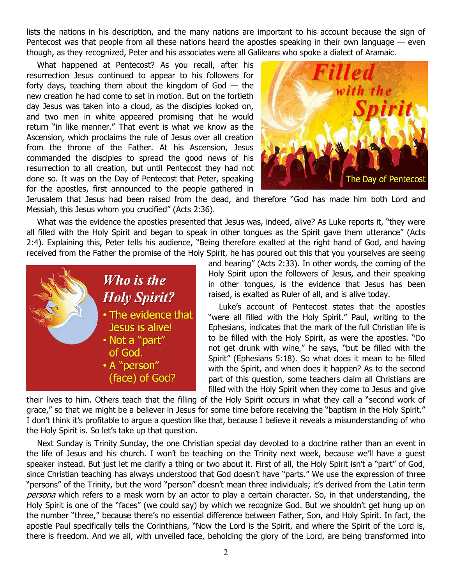lists the nations in his description, and the many nations are important to his account because the sign of Pentecost was that people from all these nations heard the apostles speaking in their own language  $-$  even though, as they recognized, Peter and his associates were all Galileans who spoke a dialect of Aramaic.

What happened at Pentecost? As you recall, after his resurrection Jesus continued to appear to his followers for forty days, teaching them about the kingdom of  $God - the$ new creation he had come to set in motion. But on the fortieth day Jesus was taken into a cloud, as the disciples looked on, and two men in white appeared promising that he would return "in like manner." That event is what we know as the Ascension, which proclaims the rule of Jesus over all creation from the throne of the Father. At his Ascension, Jesus commanded the disciples to spread the good news of his resurrection to all creation, but until Pentecost they had not done so. It was on the Day of Pentecost that Peter, speaking for the apostles, first announced to the people gathered in



Jerusalem that Jesus had been raised from the dead, and therefore "God has made him both Lord and Messiah, this Jesus whom you crucified" (Acts 2:36).

What was the evidence the apostles presented that Jesus was, indeed, alive? As Luke reports it, "they were all filled with the Holy Spirit and began to speak in other tongues as the Spirit gave them utterance" (Acts 2:4). Explaining this, Peter tells his audience, "Being therefore exalted at the right hand of God, and having received from the Father the promise of the Holy Spirit, he has poured out this that you yourselves are seeing



and hearing" (Acts 2:33). In other words, the coming of the Holy Spirit upon the followers of Jesus, and their speaking in other tongues, is the evidence that Jesus has been raised, is exalted as Ruler of all, and is alive today.

Luke's account of Pentecost states that the apostles "were all filled with the Holy Spirit." Paul, writing to the Ephesians, indicates that the mark of the full Christian life is to be filled with the Holy Spirit, as were the apostles. "Do not get drunk with wine," he says, "but be filled with the Spirit" (Ephesians 5:18). So what does it mean to be filled with the Spirit, and when does it happen? As to the second part of this question, some teachers claim all Christians are filled with the Holy Spirit when they come to Jesus and give

their lives to him. Others teach that the filling of the Holy Spirit occurs in what they call a "second work of grace," so that we might be a believer in Jesus for some time before receiving the "baptism in the Holy Spirit." I don't think it's profitable to argue a question like that, because I believe it reveals a misunderstanding of who the Holy Spirit is. So let's take up that question.

Next Sunday is Trinity Sunday, the one Christian special day devoted to a doctrine rather than an event in the life of Jesus and his church. I won't be teaching on the Trinity next week, because we'll have a guest speaker instead. But just let me clarify a thing or two about it. First of all, the Holy Spirit isn't a "part" of God, since Christian teaching has always understood that God doesn't have "parts." We use the expression of three "persons" of the Trinity, but the word "person" doesn't mean three individuals; it's derived from the Latin term persona which refers to a mask worn by an actor to play a certain character. So, in that understanding, the Holy Spirit is one of the "faces" (we could say) by which we recognize God. But we shouldn't get hung up on the number "three," because there's no essential difference between Father, Son, and Holy Spirit. In fact, the apostle Paul specifically tells the Corinthians, "Now the Lord is the Spirit, and where the Spirit of the Lord is, there is freedom. And we all, with unveiled face, beholding the glory of the Lord, are being transformed into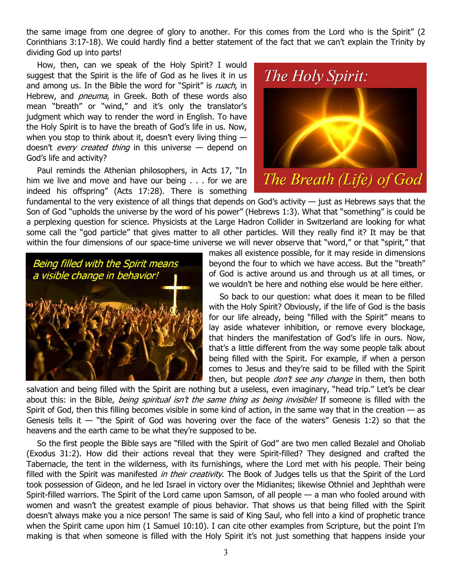the same image from one degree of glory to another. For this comes from the Lord who is the Spirit" (2 Corinthians 3:17-18). We could hardly find a better statement of the fact that we can't explain the Trinity by dividing God up into parts!

How, then, can we speak of the Holy Spirit? I would suggest that the Spirit is the life of God as he lives it in us and among us. In the Bible the word for "Spirit" is ruach, in Hebrew, and *pneuma*, in Greek. Both of these words also mean "breath" or "wind," and it's only the translator's judgment which way to render the word in English. To have the Holy Spirit is to have the breath of God's life in us. Now, when you stop to think about it, doesn't every living thing  $$ doesn't *every created thing* in this universe  $-$  depend on God's life and activity?

Paul reminds the Athenian philosophers, in Acts 17, "In him we live and move and have our being . . . for we are indeed his offspring" (Acts 17:28). There is something



fundamental to the very existence of all things that depends on God's activity — just as Hebrews says that the Son of God "upholds the universe by the word of his power" (Hebrews 1:3). What that "something" is could be a perplexing question for science. Physicists at the Large Hadron Collider in Switzerland are looking for what some call the "god particle" that gives matter to all other particles. Will they really find it? It may be that within the four dimensions of our space-time universe we will never observe that "word," or that "spirit," that



makes all existence possible, for it may reside in dimensions beyond the four to which we have access. But the "breath" of God is active around us and through us at all times, or we wouldn't be here and nothing else would be here either.

So back to our question: what does it mean to be filled with the Holy Spirit? Obviously, if the life of God is the basis for our life already, being "filled with the Spirit" means to lay aside whatever inhibition, or remove every blockage, that hinders the manifestation of God's life in ours. Now, that's a little different from the way some people talk about being filled with the Spirit. For example, if when a person comes to Jesus and they're said to be filled with the Spirit then, but people *don't see any change* in them, then both

salvation and being filled with the Spirit are nothing but a useless, even imaginary, "head trip." Let's be clear about this: in the Bible, *being spiritual isn't the same thing as being invisible!* If someone is filled with the Spirit of God, then this filling becomes visible in some kind of action, in the same way that in the creation — as Genesis tells it  $-$  "the Spirit of God was hovering over the face of the waters" Genesis 1:2) so that the heavens and the earth came to be what they're supposed to be.

So the first people the Bible says are "filled with the Spirit of God" are two men called Bezalel and Oholiab (Exodus 31:2). How did their actions reveal that they were Spirit-filled? They designed and crafted the Tabernacle, the tent in the wilderness, with its furnishings, where the Lord met with his people. Their being filled with the Spirit was manifested in their creativity. The Book of Judges tells us that the Spirit of the Lord took possession of Gideon, and he led Israel in victory over the Midianites; likewise Othniel and Jephthah were Spirit-filled warriors. The Spirit of the Lord came upon Samson, of all people — a man who fooled around with women and wasn't the greatest example of pious behavior. That shows us that being filled with the Spirit doesn't always make you a nice person! The same is said of King Saul, who fell into a kind of prophetic trance when the Spirit came upon him (1 Samuel 10:10). I can cite other examples from Scripture, but the point I'm making is that when someone is filled with the Holy Spirit it's not just something that happens inside your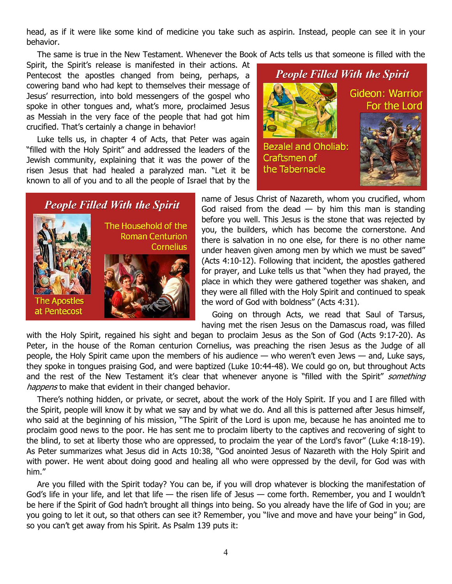head, as if it were like some kind of medicine you take such as aspirin. Instead, people can see it in your behavior.

The same is true in the New Testament. Whenever the Book of Acts tells us that someone is filled with the

Spirit, the Spirit's release is manifested in their actions. At Pentecost the apostles changed from being, perhaps, a cowering band who had kept to themselves their message of Jesus' resurrection, into bold messengers of the gospel who spoke in other tongues and, what's more, proclaimed Jesus as Messiah in the very face of the people that had got him crucified. That's certainly a change in behavior!

Luke tells us, in chapter 4 of Acts, that Peter was again "filled with the Holy Spirit" and addressed the leaders of the Jewish community, explaining that it was the power of the risen Jesus that had healed a paralyzed man. "Let it be known to all of you and to all the people of Israel that by the



**People Filled With the Spirit** 



The Household of the **Roman Centurion Cornelius** 



name of Jesus Christ of Nazareth, whom you crucified, whom God raised from the dead  $-$  by him this man is standing before you well. This Jesus is the stone that was rejected by you, the builders, which has become the cornerstone. And there is salvation in no one else, for there is no other name under heaven given among men by which we must be saved" (Acts 4:10-12). Following that incident, the apostles gathered for prayer, and Luke tells us that "when they had prayed, the place in which they were gathered together was shaken, and they were all filled with the Holy Spirit and continued to speak the word of God with boldness" (Acts 4:31).

Going on through Acts, we read that Saul of Tarsus, having met the risen Jesus on the Damascus road, was filled

with the Holy Spirit, regained his sight and began to proclaim Jesus as the Son of God (Acts 9:17-20). As Peter, in the house of the Roman centurion Cornelius, was preaching the risen Jesus as the Judge of all people, the Holy Spirit came upon the members of his audience — who weren't even Jews — and, Luke says, they spoke in tongues praising God, and were baptized (Luke 10:44-48). We could go on, but throughout Acts and the rest of the New Testament it's clear that whenever anyone is "filled with the Spirit" something happens to make that evident in their changed behavior.

There's nothing hidden, or private, or secret, about the work of the Holy Spirit. If you and I are filled with the Spirit, people will know it by what we say and by what we do. And all this is patterned after Jesus himself, who said at the beginning of his mission, "The Spirit of the Lord is upon me, because he has anointed me to proclaim good news to the poor. He has sent me to proclaim liberty to the captives and recovering of sight to the blind, to set at liberty those who are oppressed, to proclaim the year of the Lord's favor" (Luke 4:18-19). As Peter summarizes what Jesus did in Acts 10:38, "God anointed Jesus of Nazareth with the Holy Spirit and with power. He went about doing good and healing all who were oppressed by the devil, for God was with him."

Are you filled with the Spirit today? You can be, if you will drop whatever is blocking the manifestation of God's life in your life, and let that life — the risen life of Jesus — come forth. Remember, you and I wouldn't be here if the Spirit of God hadn't brought all things into being. So you already have the life of God in you; are you going to let it out, so that others can see it? Remember, you "live and move and have your being" in God, so you can't get away from his Spirit. As Psalm 139 puts it: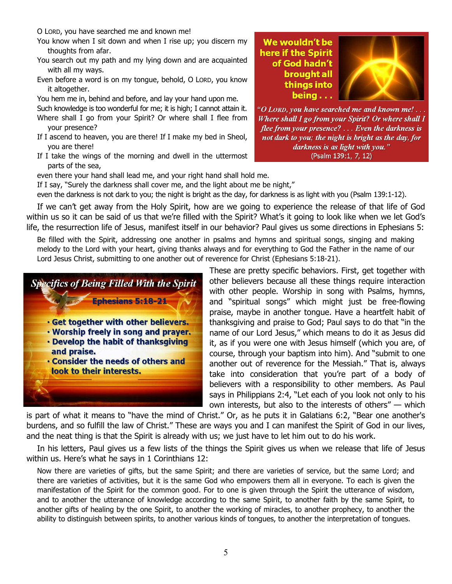- O LORD, you have searched me and known me!
- You know when I sit down and when I rise up; you discern my thoughts from afar.
- You search out my path and my lying down and are acquainted with all my ways.
- Even before a word is on my tongue, behold, O LORD, you know it altogether.

You hem me in, behind and before, and lay your hand upon me.

Such knowledge is too wonderful for me; it is high; I cannot attain it.

- Where shall I go from your Spirit? Or where shall I flee from your presence?
- If I ascend to heaven, you are there! If I make my bed in Sheol, you are there!
- If I take the wings of the morning and dwell in the uttermost parts of the sea,

even there your hand shall lead me, and your right hand shall hold me.

If I say, "Surely the darkness shall cover me, and the light about me be night,"

even the darkness is not dark to you; the night is bright as the day, for darkness is as light with you (Psalm 139:1-12).

If we can't get away from the Holy Spirit, how are we going to experience the release of that life of God within us so it can be said of us that we're filled with the Spirit? What's it going to look like when we let God's life, the resurrection life of Jesus, manifest itself in our behavior? Paul gives us some directions in Ephesians 5:

Be filled with the Spirit, addressing one another in psalms and hymns and spiritual songs, singing and making melody to the Lord with your heart, giving thanks always and for everything to God the Father in the name of our Lord Jesus Christ, submitting to one another out of reverence for Christ (Ephesians 5:18-21).



These are pretty specific behaviors. First, get together with other believers because all these things require interaction with other people. Worship in song with Psalms, hymns, and "spiritual songs" which might just be free-flowing praise, maybe in another tongue. Have a heartfelt habit of thanksgiving and praise to God; Paul says to do that "in the name of our Lord Jesus," which means to do it as Jesus did it, as if you were one with Jesus himself (which you are, of course, through your baptism into him). And "submit to one another out of reverence for the Messiah." That is, always take into consideration that you're part of a body of believers with a responsibility to other members. As Paul says in Philippians 2:4, "Let each of you look not only to his own interests, but also to the interests of others" — which

is part of what it means to "have the mind of Christ." Or, as he puts it in Galatians 6:2, "Bear one another's burdens, and so fulfill the law of Christ." These are ways you and I can manifest the Spirit of God in our lives, and the neat thing is that the Spirit is already with us; we just have to let him out to do his work.

In his letters, Paul gives us a few lists of the things the Spirit gives us when we release that life of Jesus within us. Here's what he says in 1 Corinthians 12:

Now there are varieties of gifts, but the same Spirit; and there are varieties of service, but the same Lord; and there are varieties of activities, but it is the same God who empowers them all in everyone. To each is given the manifestation of the Spirit for the common good. For to one is given through the Spirit the utterance of wisdom, and to another the utterance of knowledge according to the same Spirit, to another faith by the same Spirit, to another gifts of healing by the one Spirit, to another the working of miracles, to another prophecy, to another the ability to distinguish between spirits, to another various kinds of tongues, to another the interpretation of tongues.

We wouldn't be here if the Spirit of God hadn't **brought all** things into  $being...$ 



"O LORD, you have searched me and known me!... Where shall I go from your Spirit? Or where shall I flee from your presence? ... Even the darkness is not dark to you; the night is bright as the day, for darkness is as light with you." (Psalm 139:1, 7, 12)